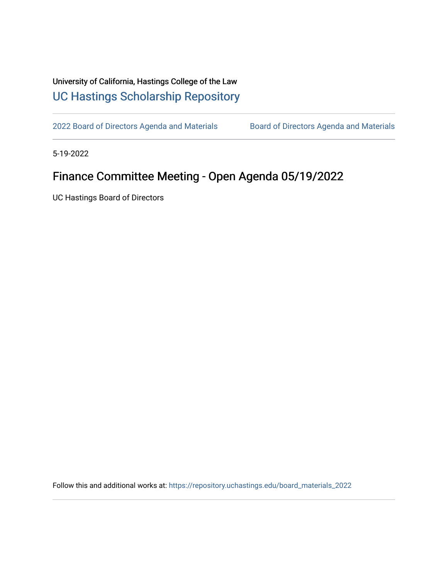## University of California, Hastings College of the Law [UC Hastings Scholarship Repository](https://repository.uchastings.edu/)

[2022 Board of Directors Agenda and Materials](https://repository.uchastings.edu/board_materials_2022) Board of Directors Agenda and Materials

5-19-2022

## Finance Committee Meeting - Open Agenda 05/19/2022

UC Hastings Board of Directors

Follow this and additional works at: [https://repository.uchastings.edu/board\\_materials\\_2022](https://repository.uchastings.edu/board_materials_2022?utm_source=repository.uchastings.edu%2Fboard_materials_2022%2F35&utm_medium=PDF&utm_campaign=PDFCoverPages)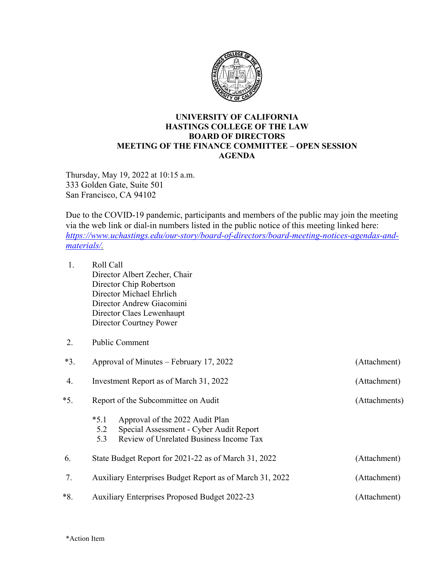

## **UNIVERSITY OF CALIFORNIA HASTINGS COLLEGE OF THE LAW BOARD OF DIRECTORS MEETING OF THE FINANCE COMMITTEE – OPEN SESSION AGENDA**

Thursday, May 19, 2022 at 10:15 a.m. 333 Golden Gate, Suite 501 San Francisco, CA 94102

Due to the COVID-19 pandemic, participants and members of the public may join the meeting via the web link or dial-in numbers listed in the public notice of this meeting linked here: *[https://www.uchastings.edu/our-story/board-of-directors/board-meeting-notices-agendas-and](https://www.uchastings.edu/our-story/board-of-directors/board-meeting-notices-agendas-and-materials/)[materials/.](https://www.uchastings.edu/our-story/board-of-directors/board-meeting-notices-agendas-and-materials/)* 

| 1.    | Roll Call<br>Director Albert Zecher, Chair<br>Director Chip Robertson<br>Director Michael Ehrlich<br>Director Andrew Giacomini<br>Director Claes Lewenhaupt<br>Director Courtney Power |               |  |  |  |  |
|-------|----------------------------------------------------------------------------------------------------------------------------------------------------------------------------------------|---------------|--|--|--|--|
| 2.    | <b>Public Comment</b>                                                                                                                                                                  |               |  |  |  |  |
| $*3.$ | Approval of Minutes – February 17, 2022<br>(Attachment)                                                                                                                                |               |  |  |  |  |
| 4.    | Investment Report as of March 31, 2022                                                                                                                                                 | (Attachment)  |  |  |  |  |
| $*5.$ | Report of the Subcommittee on Audit                                                                                                                                                    | (Attachments) |  |  |  |  |
|       | $*5.1$<br>Approval of the 2022 Audit Plan<br>Special Assessment - Cyber Audit Report<br>5.2<br>Review of Unrelated Business Income Tax<br>5.3                                          |               |  |  |  |  |
| 6.    | State Budget Report for 2021-22 as of March 31, 2022                                                                                                                                   | (Attachment)  |  |  |  |  |
| 7.    | Auxiliary Enterprises Budget Report as of March 31, 2022                                                                                                                               | (Attachment)  |  |  |  |  |
| $*8.$ | <b>Auxiliary Enterprises Proposed Budget 2022-23</b>                                                                                                                                   | (Attachment)  |  |  |  |  |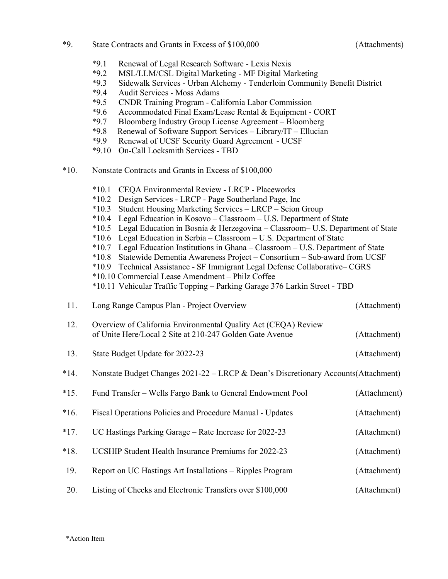| State Contracts and Grants in Excess of \$100,000<br>*0<br>- 7. |  |
|-----------------------------------------------------------------|--|
|-----------------------------------------------------------------|--|

(Attachments)

|  |  | *9.1 Renewal of Legal Research Software - Lexis Nexis |  |
|--|--|-------------------------------------------------------|--|
|  |  |                                                       |  |

- \*9.2 MSL/LLM/CSL Digital Marketing MF Digital Marketing
- \*9.3 Sidewalk Services Urban Alchemy Tenderloin Community Benefit District
- \*9.4 Audit Services Moss Adams
- \*9.5 CNDR Training Program California Labor Commission
- \*9.6 Accommodated Final Exam/Lease Rental & Equipment CORT
- \*9.7 Bloomberg Industry Group License Agreement Bloomberg
- \*9.8 Renewal of Software Support Services Library/IT Ellucian
- Renewal of UCSF Security Guard Agreement UCSF
- \*9.10 On-Call Locksmith Services TBD
- \*10. Nonstate Contracts and Grants in Excess of \$100,000

|        | $*10.1$<br>CEQA Environmental Review - LRCP - Placeworks<br>$*10.2$<br>Design Services - LRCP - Page Southerland Page, Inc<br>$*10.3$<br>Student Housing Marketing Services – LRCP – Scion Group<br>$*10.4$<br>$*10.5$<br>$*10.6$<br>$*10.7$<br>$*10.8$<br>$*10.9$<br>*10.10 Commercial Lease Amendment - Philz Coffee<br>*10.11 Vehicular Traffic Topping - Parking Garage 376 Larkin Street - TBD | Legal Education in Kosovo - Classroom - U.S. Department of State<br>Legal Education in Bosnia & Herzegovina - Classroom- U.S. Department of State<br>Legal Education in Serbia - Classroom - U.S. Department of State<br>Legal Education Institutions in Ghana - Classroom - U.S. Department of State<br>Statewide Dementia Awareness Project - Consortium - Sub-award from UCSF<br>Technical Assistance - SF Immigrant Legal Defense Collaborative-CGRS |  |  |  |  |
|--------|-----------------------------------------------------------------------------------------------------------------------------------------------------------------------------------------------------------------------------------------------------------------------------------------------------------------------------------------------------------------------------------------------------|----------------------------------------------------------------------------------------------------------------------------------------------------------------------------------------------------------------------------------------------------------------------------------------------------------------------------------------------------------------------------------------------------------------------------------------------------------|--|--|--|--|
| 11.    | Long Range Campus Plan - Project Overview                                                                                                                                                                                                                                                                                                                                                           | (Attachment)                                                                                                                                                                                                                                                                                                                                                                                                                                             |  |  |  |  |
| 12.    | Overview of California Environmental Quality Act (CEQA) Review<br>of Unite Here/Local 2 Site at 210-247 Golden Gate Avenue<br>(Attachment)                                                                                                                                                                                                                                                          |                                                                                                                                                                                                                                                                                                                                                                                                                                                          |  |  |  |  |
| 13.    | State Budget Update for 2022-23                                                                                                                                                                                                                                                                                                                                                                     | (Attachment)                                                                                                                                                                                                                                                                                                                                                                                                                                             |  |  |  |  |
| $*14.$ | Nonstate Budget Changes 2021-22 - LRCP & Dean's Discretionary Accounts(Attachment)                                                                                                                                                                                                                                                                                                                  |                                                                                                                                                                                                                                                                                                                                                                                                                                                          |  |  |  |  |
| $*15.$ | Fund Transfer - Wells Fargo Bank to General Endowment Pool                                                                                                                                                                                                                                                                                                                                          | (Attachment)                                                                                                                                                                                                                                                                                                                                                                                                                                             |  |  |  |  |
| $*16.$ | Fiscal Operations Policies and Procedure Manual - Updates                                                                                                                                                                                                                                                                                                                                           | (Attachment)                                                                                                                                                                                                                                                                                                                                                                                                                                             |  |  |  |  |
| $*17.$ | UC Hastings Parking Garage - Rate Increase for 2022-23                                                                                                                                                                                                                                                                                                                                              | (Attachment)                                                                                                                                                                                                                                                                                                                                                                                                                                             |  |  |  |  |
| $*18.$ | UCSHIP Student Health Insurance Premiums for 2022-23                                                                                                                                                                                                                                                                                                                                                | (Attachment)                                                                                                                                                                                                                                                                                                                                                                                                                                             |  |  |  |  |
| 19.    | Report on UC Hastings Art Installations - Ripples Program                                                                                                                                                                                                                                                                                                                                           | (Attachment)                                                                                                                                                                                                                                                                                                                                                                                                                                             |  |  |  |  |
| 20.    | Listing of Checks and Electronic Transfers over \$100,000                                                                                                                                                                                                                                                                                                                                           | (Attachment)                                                                                                                                                                                                                                                                                                                                                                                                                                             |  |  |  |  |